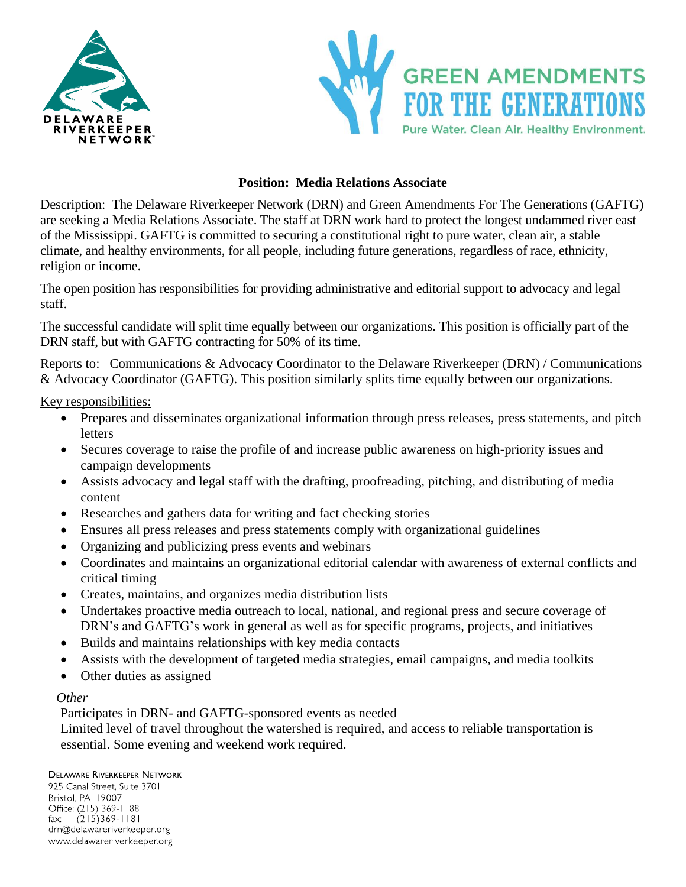



## **Position: Media Relations Associate**

Description: The Delaware Riverkeeper Network (DRN) and Green Amendments For The Generations (GAFTG) are seeking a Media Relations Associate. The staff at DRN work hard to protect the longest undammed river east of the Mississippi. GAFTG is committed to securing a constitutional right to pure water, clean air, a stable climate, and healthy environments, for all people, including future generations, regardless of race, ethnicity, religion or income.

The open position has responsibilities for providing administrative and editorial support to advocacy and legal staff.

The successful candidate will split time equally between our organizations. This position is officially part of the DRN staff, but with GAFTG contracting for 50% of its time.

Reports to: Communications & Advocacy Coordinator to the Delaware Riverkeeper (DRN) / Communications & Advocacy Coordinator (GAFTG). This position similarly splits time equally between our organizations.

Key responsibilities:

- Prepares and disseminates organizational information through press releases, press statements, and pitch letters
- Secures coverage to raise the profile of and increase public awareness on high-priority issues and campaign developments
- Assists advocacy and legal staff with the drafting, proofreading, pitching, and distributing of media content
- Researches and gathers data for writing and fact checking stories
- Ensures all press releases and press statements comply with organizational guidelines
- Organizing and publicizing press events and webinars
- Coordinates and maintains an organizational editorial calendar with awareness of external conflicts and critical timing
- Creates, maintains, and organizes media distribution lists
- Undertakes proactive media outreach to local, national, and regional press and secure coverage of DRN's and GAFTG's work in general as well as for specific programs, projects, and initiatives
- Builds and maintains relationships with key media contacts
- Assists with the development of targeted media strategies, email campaigns, and media toolkits
- Other duties as assigned

## *Other*

Participates in DRN- and GAFTG-sponsored events as needed

Limited level of travel throughout the watershed is required, and access to reliable transportation is essential. Some evening and weekend work required.

## **DELAWARE RIVERKEEPER NETWORK**

925 Canal Street, Suite 3701 Bristol. PA 19007 Office: (215) 369-1188 fax:  $(215)369 - 1181$ drn@delawareriverkeeper.org www.delawareriverkeeper.org